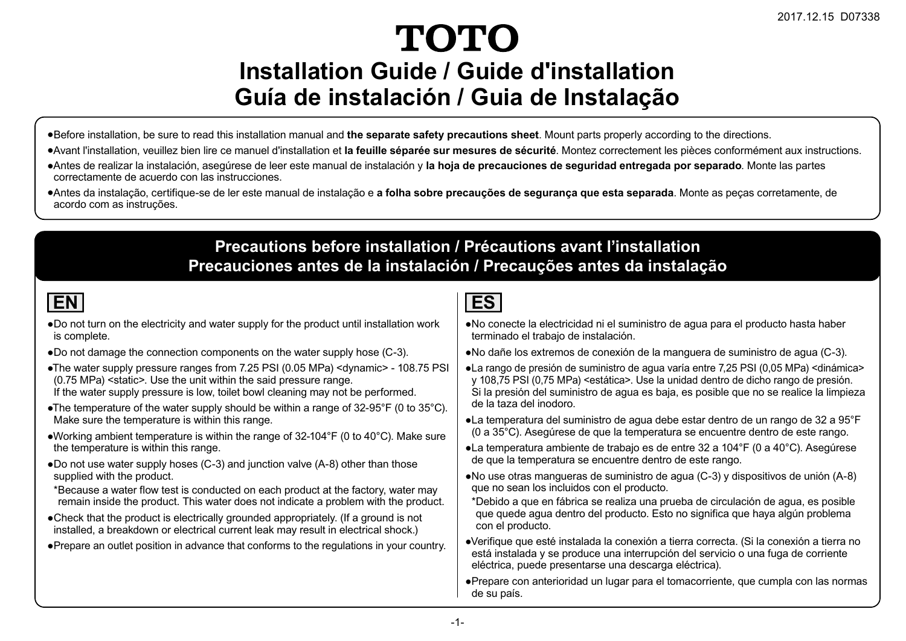# **TOTO Installation Guide / Guide d'installation Guía de instalación / Guia de Instalação**

- ƔBefore installation, be sure to read this installation manual and **the separate safety precautions sheet**. Mount parts properly according to the directions.
- ƔAvant l'installation, veuillez bien lire ce manuel d'installation et **la feuille séparée sur mesures de sécurité**. Montez correctement les pièces conformément aux instructions.
- ƔAntes de realizar la instalación, asegúrese de leer este manual de instalación y **la hoja de precauciones de seguridad entregada por separado**. Monte las partes correctamente de acuerdo con las instrucciones.
- ƔAntes da instalação, certifique-se de ler este manual de instalação e **a folha sobre precauções de segurança que esta separada**. Monte as peças corretamente, de acordo com as instruções.

#### **Precautions before installation / Précautions avant l'installation Precauciones antes de la instalación / Precauções antes da instalação**

- . Do not turn on the electricity and water supply for the product until installation work is complete.
- •Do not damage the connection components on the water supply hose (C-3).
- •The water supply pressure ranges from 7.25 PSI (0.05 MPa) <dynamic> 108.75 PSI  $(0.75 \text{ MPa})$  <static>. Use the unit within the said pressure range. If the water supply pressure is low, toilet bowl cleaning may not be performed.
- •The temperature of the water supply should be within a range of 32-95°F (0 to 35°C). Make sure the temperature is within this range.
- •Working ambient temperature is within the range of 32-104°F (0 to 40°C). Make sure the temperature is within this range.
- $\bullet$  Do not use water supply hoses (C-3) and junction valve (A-8) other than those supplied with the product.
- \*Because a water flow test is conducted on each product at the factory, water may remain inside the product. This water does not indicate a problem with the product.
- •Check that the product is electrically grounded appropriately, (If a ground is not installed. a breakdown or electrical current leak may result in electrical shock.)
- Prepare an outlet position in advance that conforms to the regulations in your country.

- No conecte la electricidad ni el suministro de agua para el producto hasta haber terminado el trabajo de instalación.
- No dañe los extremos de conexión de la manguera de suministro de agua (C-3).
- La rango de presión de suministro de aqua varía entre 7,25 PSI (0,05 MPa) < dinámica y 108,75 PSI (0,75 MPa) <estática>. Use la unidad dentro de dicho rango de presión. Si la presión del suministro de agua es baia, es posible que no se realice la limpieza de la taza del inodoro.
- La temperatura del suministro de aqua debe estar dentro de un rango de 32 a 95°F  $(0 a 35^{\circ}$ C). Asegúrese de que la temperatura se encuentre dentro de este rango.
- •La temperatura ambiente de trabajo es de entre 32 a 104°F (0 a 40°C). Asegúrese de que la temperatura se encuentre dentro de este rango.
- No use otras mangueras de suministro de agua (C-3) y dispositivos de unión (A-8) que no sean los incluidos con el producto.
- \*Debido a que en fábrica se realiza una prueba de circulación de aqua, es posible que quede agua dentro del producto. Esto no significa que haya algún problema con el producto.
- •Verifique que esté instalada la conexión a tierra correcta. (Si la conexión a tierra no está instalada y se produce una interrupción del servicio o una fuga de corriente eléctrica, puede presentarse una descarga eléctrica).
- Prepare con anterioridad un lugar para el tomacorriente, que cumpla con las normas de su país.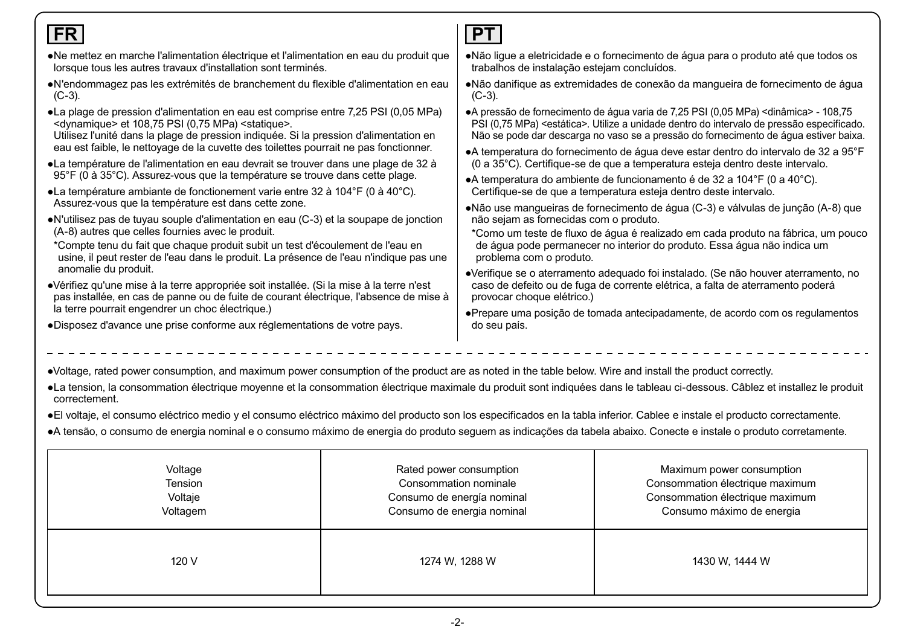#### •Voltage, rated power consumption, and maximum power consumption of the product are as noted in the table below. Wire and install the product correctly, •La tension, la consommation électrique moyenne et la consommation électrique maximale du produit sont indiquées dans le tableau ci-dessous. Câblez et installez le produit correctement. ·El voltaje, el consumo eléctrico medio y el consumo eléctrico máximo del producto son los especificados en la tabla inferior. Cablee e instale el producto correctamente. **FR**  $\bullet$ Ne mettez en marche l'alimentation électrique et l'alimentation en eau du produit que lorsque tous les autres travaux d'installation sont terminés.  $\bullet$ N'endommagez pas les extrémités de branchement du flexible d'alimentation en eau  $(C-3)$ .  $\bullet$ La plage de pression d'alimentation en eau est comprise entre 7,25 PSI (0,05 MPa)  $\le$ dynamique> et 108,75 PSI (0,75 MPa) $\le$ statique>. Utilisez l'unité dans la plage de pression indiquée. Si la pression d'alimentation en eau est faible, le nettovage de la cuvette des toilettes pourrait ne pas fonctionner.  $\bullet$ La température de l'alimentation en eau devrait se trouver dans une plage de 32 à  $95^\circ$ F (0 à 35 $^\circ$ C). Assurez-vous que la température se trouve dans cette plage. • La température ambiante de fonctionement varie entre 32 à 104 $\degree$ F (0 à 40 $\degree$ C). Assurez-vous que la température est dans cette zone.  $\bullet$ N'utilisez pas de tuyau souple d'alimentation en eau (C-3) et la soupape de jonction  $(A-8)$  autres que celles fournies avec le produit. \*Compte tenu du fait que chaque produit subit un test d'écoulement de l'eau en usine, il peut rester de l'eau dans le produit. La présence de l'eau n'indique pas une anomalie du produit.  $\bullet$ Vérifiez qu'une mise à la terre appropriée soit installée. (Si la mise à la terre n'est pas installée, en cas de panne ou de fuite de courant électrique, l'absence de mise à la terre pourrait engendrer un choc électrique.) ●Disposez d'avance une prise conforme aux réglementations de votre pays. **PT** • Não lique a eletricidade e o fornecimento de áqua para o produto até que todos os trabalhos de instalação estejam concluídos. • Não danifique as extremidades de conexão da mangueira de fornecimento de água  $(C-3)$ . • A pressão de fornecimento de água varia de 7.25 PSI (0.05 MPa) < dinâmica > - 108.75 PSI (0.75 MPa) <estática>. Utilize a unidade dentro do intervalo de pressão especificado. Não se pode dar descarga no vaso se a pressão do fornecimento de água estiver baixa. • A temperatura do fornecimento de áqua deve estar dentro do intervalo de 32 a 95°F  $(0 a 35^{\circ}$ C). Certifique-se de que a temperatura esteia dentro deste intervalo. • A temperatura do ambiente de funcionamento é de 32 a 104°F (0 a 40°C). Certifique-se de que a temperatura esteia dentro deste intervalo. • Não use manqueiras de fornecimento de áqua (C-3) e válvulas de junção (A-8) que não sejam as fornecidas com o produto. \*Como um teste de fluxo de áqua é realizado em cada produto na fábrica, um pouco de áqua pode permanecer no interior do produto. Essa áqua não indica um problema com o produto. •Verifique se o aterramento adequado foi instalado. (Se não houver aterramento, no caso de defeito ou de fuga de corrente elétrica, a falta de aterramento poderá provocar choque elétrico.) ·Prepare uma posição de tomada antecipadamente, de acordo com os regulamentos do seu país.

| •A tensão, o consumo de energia nominal e o consumo máximo de energia do produto seguem as indicações da tabela abaixo. Conecte e instale o produto corretamente. |  |  |
|-------------------------------------------------------------------------------------------------------------------------------------------------------------------|--|--|
|                                                                                                                                                                   |  |  |

| Voltage  | Rated power consumption    | Maximum power consumption       |
|----------|----------------------------|---------------------------------|
| Tension  | Consommation nominale      | Consommation électrique maximum |
| Voltaje  | Consumo de energía nominal | Consommation électrique maximum |
| Voltagem | Consumo de energia nominal | Consumo máximo de energia       |
| 120 V    | 1274 W, 1288 W             | 1430 W, 1444 W                  |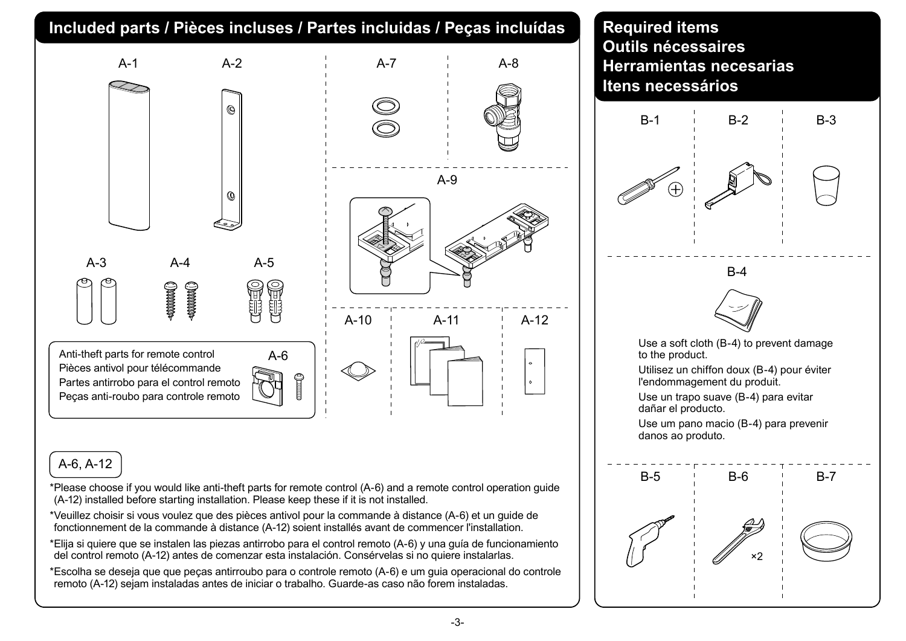### **Included parts / Pièces incluses / Partes incluidas / Peças incluídas | Required items**



#### A-6, A-12

- \*Please choose if you would like anti-theft parts for remote control (A-6) and a remote control operation guide (A-12) installed before starting installation. Please keep these if it is not installed.
- \*Veuillez choisir si vous voulez que des pièces antivol pour la commande à distance (A-6) et un guide de fonctionnement de la commande à distance (A-12) soient installés avant de commencer l'installation.
- \*Elija si quiere que se instalen las piezas antirrobo para el control remoto (A-6) y una guía de funcionamiento del control remoto (A-12) antes de comenzar esta instalación. Consérvelas si no quiere instalarlas.
- \*Escolha se deseja que que peças antirroubo para o controle remoto (A-6) e um guia operacional do controle remoto (A-12) sejam instaladas antes de iniciar o trabalho. Guarde-as caso não forem instaladas.

## **Outils nécessaires Herramientas necesarias Itens necessários**

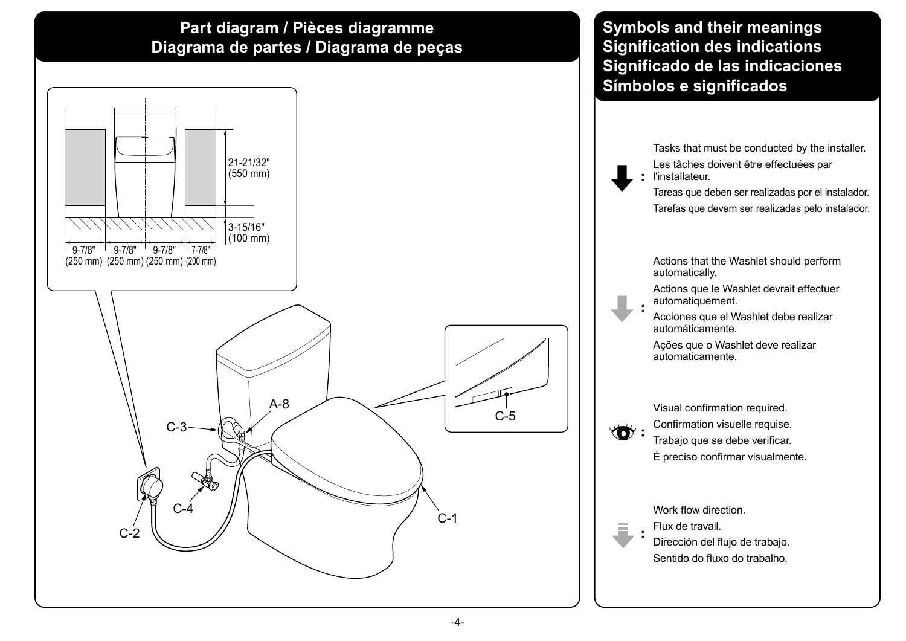#### **Part diagram / Pièces diagramme Diagrama de partes / Diagrama de peças**



#### **Symbols and their meanings Signification des indications Significado de las indicaciones Símbolos e significados**

**:** l'installateur. Tasks that must be conducted by the installer. Les tâches doivent être effectuées par

Tareas que deben ser realizadas por el instalador. Tarefas que devem ser realizadas pelo instalador.

Actions that the Washlet should perform automatically.

Actions que le Washlet devrait effectuer automatiquement.

Acciones que el Washlet debe realizar automáticamente.

Ações que o Washlet deve realizar automaticamente.

Visual confirmation required. Confirmation visuelle requise. Trabajo que se debe verificar. É preciso confirmar visualmente.

Work flow direction.

Flux de travail.

Dirección del flujo de trabajo. Sentido do fluxo do trabalho.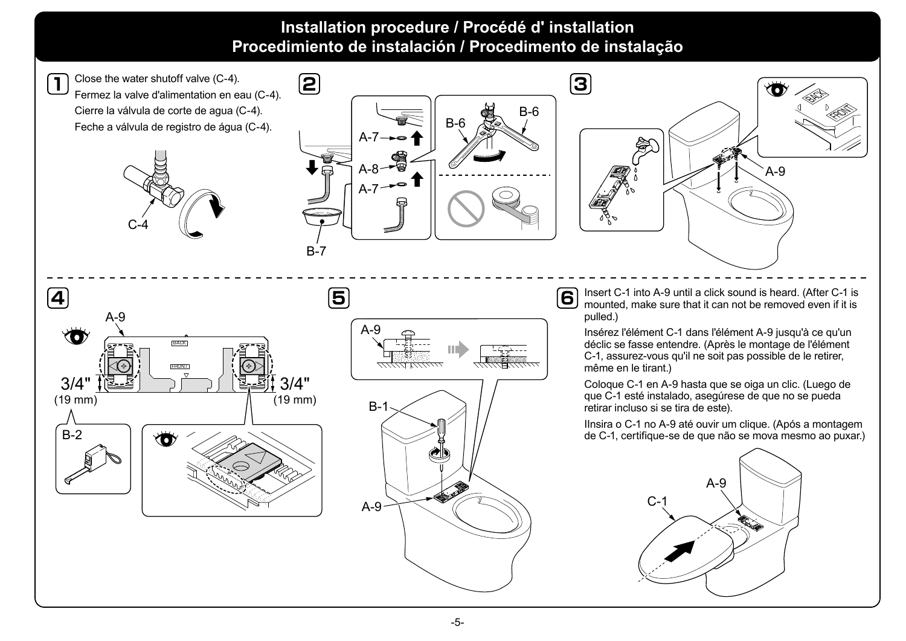#### **Installation procedure / Procédé d' installation Procedimiento de instalación / Procedimento de instalação**

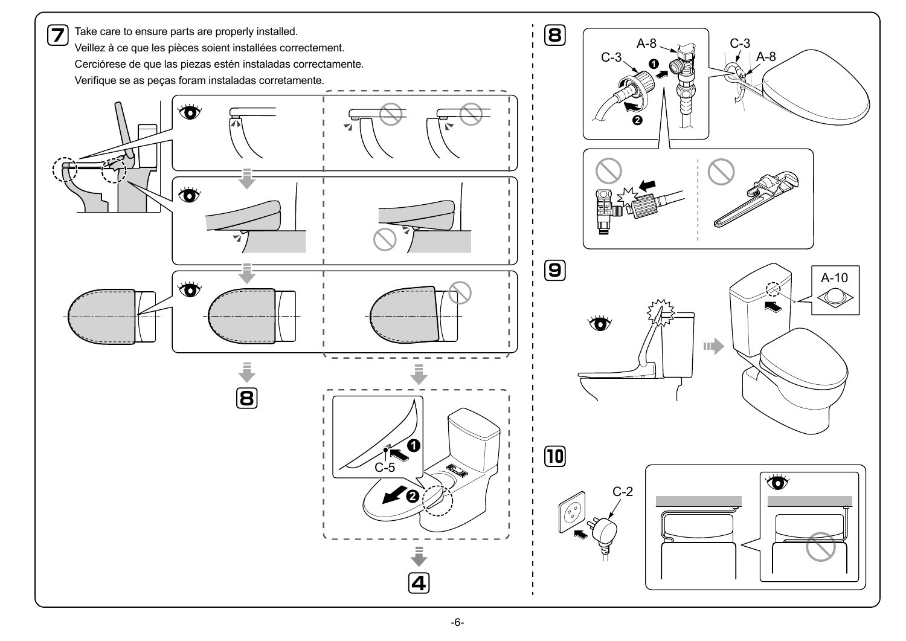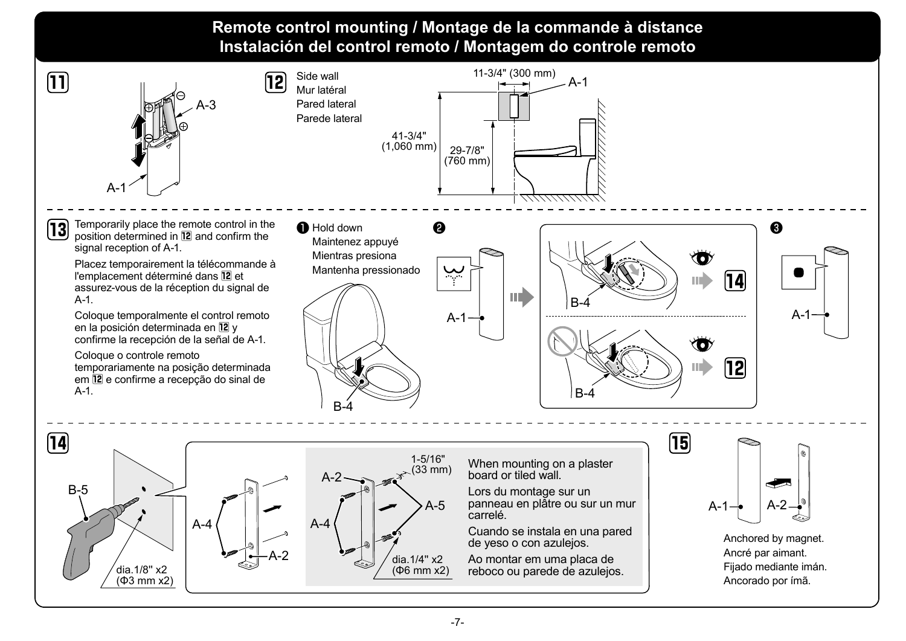#### **Remote control mounting / Montage de la commande à distance Instalación del control remoto / Montagem do controle remoto**



Placez temporairement la télécommande à l'emplacement déterminé dans **12** et assurez-vous de la réception du signal de A-1.

Coloque temporalmente el control remoto en la posición determinada en **12** y confirme la recepción de la señal de A-1.

Coloque o controle remoto temporariamente na posição determinada em **12** e confirme a recepção do sinal de  $A-1$ 





**15**  $A-1$ 

> Anchored by magnet. Ancré par aimant. Fijado mediante imán. Ancorado por ímã.